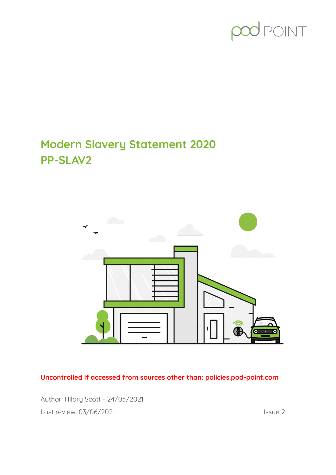# TVIOS

## **Modern Slavery Statement 2020 PP-SLAV2**



**Uncontrolled if accessed from sources other than: policies.pod-point.com**

Author: Hilary Scott - 24/05/2021 Last review: 03/06/2021 **Issue 2**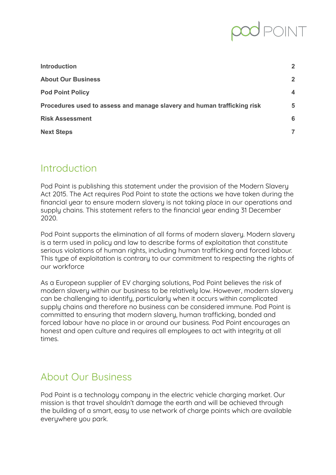| <b>Introduction</b>                                                     | $\overline{2}$          |
|-------------------------------------------------------------------------|-------------------------|
| <b>About Our Business</b>                                               | $\overline{2}$          |
| <b>Pod Point Policy</b>                                                 | $\overline{\mathbf{4}}$ |
| Procedures used to assess and manage slavery and human trafficking risk | 5                       |
| <b>Risk Assessment</b>                                                  | 6                       |
| <b>Next Steps</b>                                                       |                         |

## <span id="page-1-0"></span>Introduction

Pod Point is publishing this statement under the provision of the Modern Slavery Act 2015. The Act requires Pod Point to state the actions we have taken during the financial year to ensure modern slavery is not taking place in our operations and supply chains. This statement refers to the financial year ending 31 December 2020.

Pod Point supports the elimination of all forms of modern slavery. Modern slavery is a term used in policy and law to describe forms of exploitation that constitute serious violations of human rights, including human trafficking and forced labour. This type of exploitation is contrary to our commitment to respecting the rights of our workforce

As a European supplier of EV charging solutions, Pod Point believes the risk of modern slavery within our business to be relatively low. However, modern slavery can be challenging to identify, particularly when it occurs within complicated supply chains and therefore no business can be considered immune. Pod Point is committed to ensuring that modern slavery, human trafficking, bonded and forced labour have no place in or around our business. Pod Point encourages an honest and open culture and requires all employees to act with integrity at all times.

## <span id="page-1-1"></span>About Our Business

Pod Point is a technology company in the electric vehicle charging market. Our mission is that travel shouldn't damage the earth and will be achieved through the building of a smart, easy to use network of charge points which are available everywhere you park.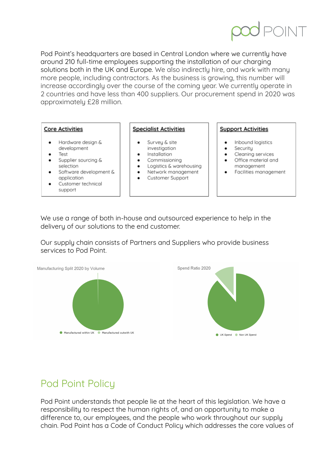Pod Point's headquarters are based in Central London where we currently have around 210 full-time employees supporting the installation of our charging solutions both in the UK and Europe. We also indirectly hire, and work with many more people, including contractors. As the business is growing, this number will increase accordingly over the course of the coming year. We currently operate in 2 countries and have less than 400 suppliers. Our procurement spend in 2020 was approximately £28 million.

### **Core Activities**

- Hardware design & development
- Test
- Supplier sourcing & selection
- Software development & application
- Customer technical support

### **Specialist Activities**

- Survey & site
- investigation Installation
- Commissioning
- 
- Logistics & warehousing Network management
- Customer Support

### **Support Activities**

- Inbound logistics  $\bullet$
- Security  $\bullet$
- Cleaning services ٠
- Office material and management
- Facilities management

We use a range of both in-house and outsourced experience to help in the delivery of our solutions to the end customer.

Our supply chain consists of Partners and Suppliers who provide business services to Pod Point.



## <span id="page-2-0"></span>Pod Point Policy

Pod Point understands that people lie at the heart of this legislation. We have a responsibility to respect the human rights of, and an opportunity to make a difference to, our employees, and the people who work throughout our supply chain. Pod Point has a Code of Conduct Policy which addresses the core values of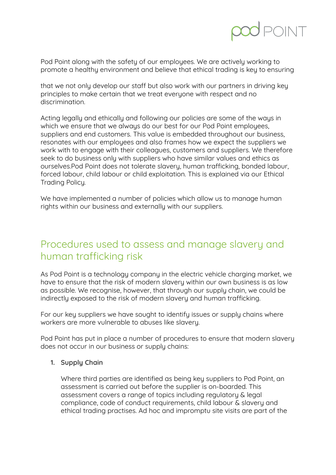Pod Point along with the safety of our employees. We are actively working to promote a healthy environment and believe that ethical trading is key to ensuring

that we not only develop our staff but also work with our partners in driving key principles to make certain that we treat everyone with respect and no discrimination.

Acting legally and ethically and following our policies are some of the ways in which we ensure that we always do our best for our Pod Point employees, suppliers and end customers. This value is embedded throughout our business, resonates with our employees and also frames how we expect the suppliers we work with to engage with their colleagues, customers and suppliers. We therefore seek to do business only with suppliers who have similar values and ethics as ourselves.Pod Point does not tolerate slavery, human trafficking, bonded labour, forced labour, child labour or child exploitation. This is explained via our Ethical Trading Policy.

We have implemented a number of policies which allow us to manage human rights within our business and externally with our suppliers.

## <span id="page-3-0"></span>Procedures used to assess and manage slavery and human trafficking risk

As Pod Point is a technology company in the electric vehicle charging market, we have to ensure that the risk of modern slavery within our own business is as low as possible. We recognise, however, that through our supply chain, we could be indirectly exposed to the risk of modern slavery and human trafficking.

For our key suppliers we have sought to identify issues or supply chains where workers are more vulnerable to abuses like slavery.

Pod Point has put in place a number of procedures to ensure that modern slavery does not occur in our business or supply chains:

### **1. Supply Chain**

Where third parties are identified as being key suppliers to Pod Point, an assessment is carried out before the supplier is on-boarded. This assessment covers a range of topics including regulatory & legal compliance, code of conduct requirements, child labour & slavery and ethical trading practises. Ad hoc and impromptu site visits are part of the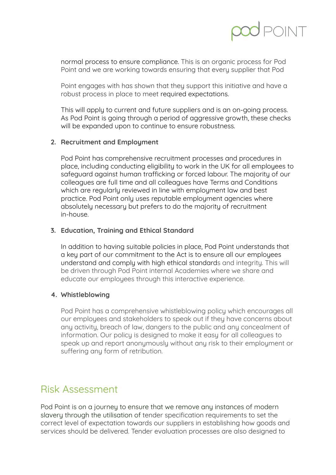normal process to ensure compliance. This is an organic process for Pod Point and we are working towards ensuring that every supplier that Pod

Point engages with has shown that they support this initiative and have a robust process in place to meet required expectations.

This will apply to current and future suppliers and is an on-going process. As Pod Point is going through a period of aggressive growth, these checks will be expanded upon to continue to ensure robustness.

### **2. Recruitment and Employment**

Pod Point has comprehensive recruitment processes and procedures in place, including conducting eligibility to work in the UK for all employees to safeguard against human trafficking or forced labour. The majority of our colleagues are full time and all colleagues have Terms and Conditions which are regularly reviewed in line with employment law and best practice. Pod Point only uses reputable employment agencies where absolutely necessary but prefers to do the majority of recruitment in-house.

### **3. Education, Training and Ethical Standard**

In addition to having suitable policies in place, Pod Point understands that a key part of our commitment to the Act is to ensure all our employees understand and comply with high ethical standards and integrity. This will be driven through Pod Point internal Academies where we share and educate our employees through this interactive experience.

### **4. Whistleblowing**

Pod Point has a comprehensive whistleblowing policy which encourages all our employees and stakeholders to speak out if they have concerns about any activity, breach of law, dangers to the public and any concealment of information. Our policy is designed to make it easy for all colleagues to speak up and report anonymously without any risk to their employment or suffering any form of retribution.

## <span id="page-4-0"></span>Risk Assessment

Pod Point is on a journey to ensure that we remove any instances of modern slavery through the utilisation of tender specification requirements to set the correct level of expectation towards our suppliers in establishing how goods and services should be delivered. Tender evaluation processes are also designed to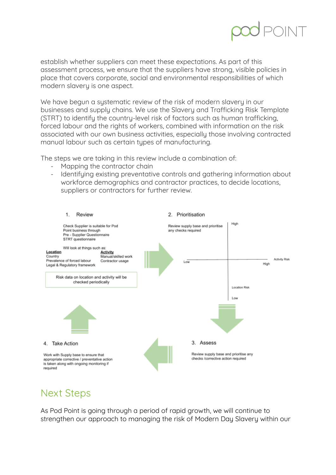establish whether suppliers can meet these expectations. As part of this assessment process, we ensure that the suppliers have strong, visible policies in place that covers corporate, social and environmental responsibilities of which modern slavery is one aspect.

We have begun a systematic review of the risk of modern slavery in our businesses and supply chains. We use the Slavery and Trafficking Risk Template (STRT) to identify the country-level risk of factors such as human trafficking, forced labour and the rights of workers, combined with information on the risk associated with our own business activities, especially those involving contracted manual labour such as certain types of manufacturing.

The steps we are taking in this review include a combination of:

- Mapping the contractor chain
- Identifying existing preventative controls and gathering information about workforce demographics and contractor practices, to decide locations, suppliers or contractors for further review.



## <span id="page-5-0"></span>Next Steps

As Pod Point is going through a period of rapid growth, we will continue to strengthen our approach to managing the risk of Modern Day Slavery within our